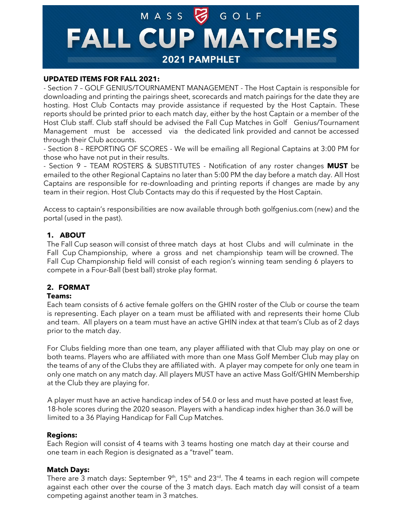# MASS GOLF **FALL CUP MATCHES** 2021 PAMPHLET

#### **UPDATED ITEMS FOR FALL 2021:**

- Section 7 – GOLF GENIUS/TOURNAMENT MANAGEMENT - The Host Captain is responsible for downloading and printing the pairings sheet, scorecards and match pairings for the date they are hosting. Host Club Contacts may provide assistance if requested by the Host Captain. These reports should be printed prior to each match day, either by the host Captain or a member of the Host Club staff. Club staff should be advised the Fall Cup Matches in Golf Genius/Tournament Management must be accessed via the dedicated link provided and cannot be accessed through their Club accounts.

- Section 8 – REPORTING OF SCORES - We will be emailing all Regional Captains at 3:00 PM for those who have not put in their results.

- Section 9 – TEAM ROSTERS & SUBSTITUTES - Notification of any roster changes **MUST** be emailed to the other Regional Captains no later than 5:00 PM the day before a match day. All Host Captains are responsible for re-downloading and printing reports if changes are made by any team in their region. Host Club Contacts may do this if requested by the Host Captain.

Access to captain's responsibilities are now available through both golfgenius.com (new) and the portal (used in the past).

### **1. ABOUT**

The Fall Cup season will consist of three match days at host Clubs and will culminate in the Fall Cup Championship, where a gross and net championship team will be crowned. The Fall Cup Championship field will consist of each region's winning team sending 6 players to compete in a Four-Ball (best ball) stroke play format.

#### **2. FORMAT**

#### **Teams:**

Each team consists of 6 active female golfers on the GHIN roster of the Club or course the team is representing. Each player on a team must be affiliated with and represents their home Club and team. All players on a team must have an active GHIN index at that team's Club as of 2 days prior to the match day.

For Clubs fielding more than one team, any player affiliated with that Club may play on one or both teams. Players who are affiliated with more than one Mass Golf Member Club may play on the teams of any of the Clubs they are affiliated with. A player may compete for only one team in only one match on any match day. All players MUST have an active Mass Golf/GHIN Membership at the Club they are playing for.

A player must have an active handicap index of 54.0 or less and must have posted at least five, 18-hole scores during the 2020 season. Players with a handicap index higher than 36.0 will be limited to a 36 Playing Handicap for Fall Cup Matches.

#### **Regions:**

Each Region will consist of 4 teams with 3 teams hosting one match day at their course and one team in each Region is designated as a "travel" team.

#### **Match Days:**

There are 3 match days: September 9<sup>th</sup>, 15<sup>th</sup> and 23<sup>rd</sup>. The 4 teams in each region will compete against each other over the course of the 3 match days. Each match day will consist of a team competing against another team in 3 matches.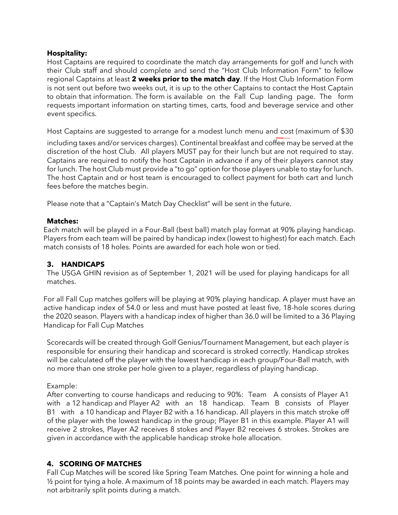### **Hospitality:**

Host Captains are required to coordinate the match day arrangements for golf and lunch with their Club staff and should complete and send the "Host Club Information Form" to fellow regional Captains at least **2 weeks prior to the match day**. If the Host Club Information Form is not sent out before two weeks out, it is up to the other Captains to contact the Host Captain to obtain that information. The form [is available on the Fall Cup landing page. The form](https://www.massgolf.org/wp-content/uploads/2018/11/2019-Fall-Cup-Region-Summary.8.12.19.with-emails.pdf)  [requests](https://www.massgolf.org/wp-content/uploads/2018/11/2019-Fall-Cup-Region-Summary.8.12.19.with-emails.pdf) important information on starting times, carts, food and beverage service and other event specifics.

Host Captains are suggested to arrange for a modest lunch menu and cost (maximum of \$30

including taxes and/or services charges). Continental breakfast and coffee may be served at the discretion of the host Club. All players MUST pay for their lunch but are not required to stay. Captains are required to notify the host Captain in advance if any of their players cannot stay for lunch. The host Club must provide a "to go" option for those players unable to stay for lunch. The host Captain and or host team is encouraged to collect payment for both cart and lunch fees before the matches begin.

Please note that a "Captain's Match Day Checklist" will be sent in the future.

#### **Matches:**

Each match will be played in a Four-Ball (best ball) match play format at 90% playing handicap. Players from each team will be paired by handicap index (lowest to highest) for each match. Each match consists of 18 holes. Points are awarded for each hole won or tied.

# **3. HANDICAPS**

The USGA GHIN revision as of September 1, 2021 will be used for playing handicaps for all matches.

For all Fall Cup matches golfers will be playing at 90% playing handicap. A player must have an active handicap index of 54.0 or less and must have posted at least five, 18-hole scores during the 2020 season. Players with a handicap index of higher than 36.0 will be limited to a 36 Playing Handicap for Fall Cup Matches

Scorecards will be created through Golf Genius/Tournament Management, but each player is responsible for ensuring their handicap and scorecard is stroked correctly. Handicap strokes will be calculated off the player with the lowest handicap in each group/Four-Ball match, with no more than one stroke per hole given to a player, regardless of playing handicap.

# Example:

After converting to course handicaps and reducing to 90%: Team A consists of Player A1 with a 12 handicap and Player A2 with an 18 handicap. Team B consists of Player B1 with a 10 handicap and Player B2 with a 16 handicap. All players in this match stroke off of the player with the lowest handicap in the group; Player B1 in this example. Player A1 will receive 2 strokes, Player A2 receives 8 stokes and Player B2 receives 6 strokes. Strokes are given in accordance with the applicable handicap stroke hole allocation.

# **4. SCORING OF MATCHES**

Fall Cup Matches will be scored like Spring Team Matches. One point for winning a hole and ½ point for tying a hole. A maximum of 18 points may be awarded in each match. Players may not arbitrarily split points during a match.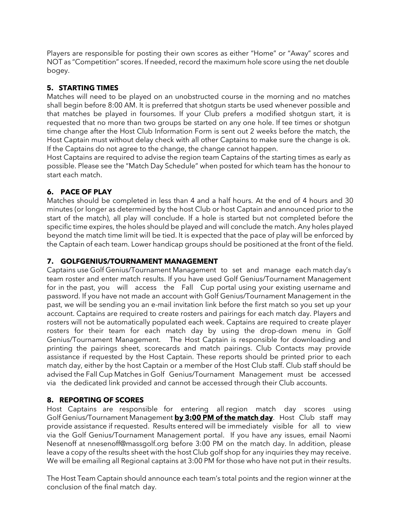Players are responsible for posting their own scores as either "Home" or "Away" scores and NOT as "Competition" scores. If needed, record the maximum hole score using the net double bogey.

# **5. STARTING TIMES**

Matches will need to be played on an unobstructed course in the morning and no matches shall begin before 8:00 AM. It is preferred that shotgun starts be used whenever possible and that matches be played in foursomes. If your Club prefers a modified shotgun start, it is requested that no more than two groups be started on any one hole. If tee times or shotgun time change after the Host Club Information Form is sent out 2 weeks before the match, the Host Captain must without delay check with all other Captains to make sure the change is ok. If the Captains do not agree to the change, the change cannot happen.

Host Captains are required to advise the region team Captains of the starting times as early as possible. Please see the "Match Day Schedule" when posted for which team has the honour to start each match.

# **6. PACE OF PLAY**

Matches should be completed in less than 4 and a half hours. At the end of 4 hours and 30 minutes (or longer as determined by the host Club or host Captain and announced prior to the start of the match), all play will conclude. If a hole is started but not completed before the specific time expires, the holes should be played and will conclude the match. Any holes played beyond the match time limit will be tied. It is expected that the pace of play will be enforced by the Captain of each team. Lower handicap groups should be positioned at the front of the field.

# **7. GOLFGENIUS/TOURNAMENT MANAGEMENT**

Captains use Golf Genius/Tournament Management to set and manage each match day's team roster and enter match results. If you have used Golf Genius/Tournament Management for in the past, you will access the Fall Cup portal using your existing username and password. If you have not made an account with Golf Genius/Tournament Management in the past, we will be sending you an e-mail invitation link before the first match so you set up your account. Captains are required to create rosters and pairings for each match day. Players and rosters will not be automatically populated each week. Captains are required to create player rosters for their team for each match day by using the drop-down menu in Golf Genius/Tournament Management. The Host Captain is responsible for downloading and printing the pairings sheet, scorecards and match pairings. Club Contacts may provide assistance if requested by the Host Captain. These reports should be printed prior to each match day, either by the host Captain or a member of the Host Club staff. Club staff should be advised the Fall Cup Matches in Golf Genius/Tournament Management must be accessed via the dedicated link provided and cannot be accessed through their Club accounts.

# **8. REPORTING OF SCORES**

Host Captains are responsible for entering all region match day scores using Golf Genius/Tournament Management **by 3:00 PM of the match day**. Host Club staff may provide assistance if requested. Results entered will be immediately visible for all to view via the Golf Genius/Tournament Management portal. If you have any issues, email Naomi Nesenoff at [nnesenoff@massgolf.org](mailto:nnesenoff@massgolf.org) before 3:00 PM on the match day. In addition, please leave a copy of the results sheet with the host Club golf shop for any inquiries they may receive. We will be emailing all Regional captains at 3:00 PM for those who have not put in their results.

The Host Team Captain should announce each team's total points and the region winner at the conclusion of the final match day.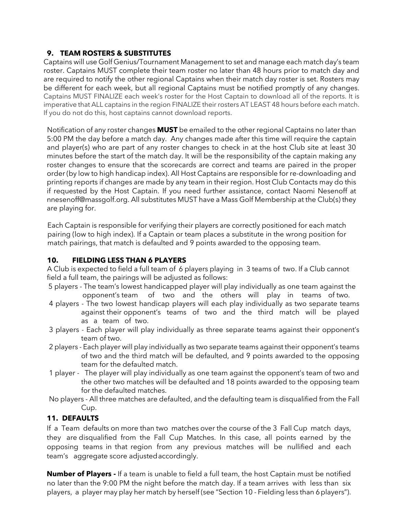# **9. TEAM ROSTERS & SUBSTITUTES**

Captains will use Golf Genius/Tournament Management to set and manage each match day's team roster. Captains MUST complete their team roster no later than 48 hours prior to match day and are required to notify the other regional Captains when their match day roster is set. Rosters may be different for each week, but all regional Captains must be notified promptly of any changes. Captains MUST FINALIZE each week's roster for the Host Captain to download all of the reports. It is imperative that ALL captains in the region FINALIZE their rosters AT LEAST 48 hours before each match. If you do not do this, host captains cannot download reports.

Notification of any roster changes **MUST** be emailed to the other regional Captains no later than 5:00 PM the day before a match day. Any changes made after this time will require the captain and player(s) who are part of any roster changes to check in at the host Club site at least 30 minutes before the start of the match day. It will be the responsibility of the captain making any roster changes to ensure that the scorecards are correct and teams are paired in the proper order (by low to high handicap index). All Host Captains are responsible for re-downloading and printing reports if changes are made by any team in their region. Host Club Contacts may do this if requested by the Host Captain. If you need further assistance, contact Naomi Nesenoff at nnesenoff@massgolf.org. All substitutes MUST have a Mass Golf Membership at the Club(s) they are playing for.

Each Captain is responsible for verifying their players are correctly positioned for each match pairing (low to high index). If a Captain or team places a substitute in the wrong position for match pairings, that match is defaulted and 9 points awarded to the opposing team.

# **10. FIELDING LESS THAN 6 PLAYERS**

A Club is expected to field a full team of 6 players playing in 3 teams of two. If a Club cannot field a full team, the pairings will be adjusted as follows:

- 5 players The team's lowest handicapped player will play individually as one team against the opponent's team of two and the others will play in teams of two.
- 4 players The two lowest handicap players will each play individually as two separate teams against their opponent's teams of two and the third match will be played as a team of two.
- 3 players Each player will play individually as three separate teams against their opponent's team of two.
- 2 players Each player will play individually as two separate teams against their opponent's teams of two and the third match will be defaulted, and 9 points awarded to the opposing team for the defaulted match.
- 1 player The player will play individually as one team against the opponent's team of two and the other two matches will be defaulted and 18 points awarded to the opposing team for the defaulted matches.
- No players All three matches are defaulted, and the defaulting team is disqualified from the Fall Cup.

# **11. DEFAULTS**

If a Team defaults on more than two matches over the course of the 3 Fall Cup match days, they are disqualified from the Fall Cup Matches. In this case, all points earned by the opposing teams in that region from any previous matches will be nullified and each team's aggregate score adjustedaccordingly.

**Number of Players -** If a team is unable to field a full team, the host Captain must be notified no later than the 9:00 PM the night before the match day. If a team arrives with less than six players, a player may play her match by herself (see "Section 10 - Fielding less than 6players").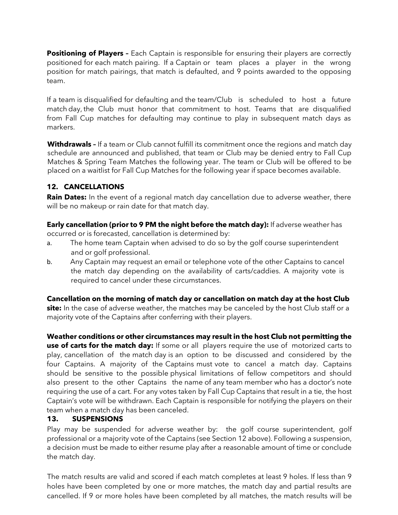**Positioning of Players -** Each Captain is responsible for ensuring their players are correctly positioned for each match pairing. If a Captain or team places a player in the wrong position for match pairings, that match is defaulted, and 9 points awarded to the opposing team.

If a team is disqualified for defaulting and the team/Club is scheduled to host a future match day, the Club must honor that commitment to host. Teams that are disqualified from Fall Cup matches for defaulting may continue to play in subsequent match days as markers.

**Withdrawals –** If a team or Club cannot fulfill its commitment once the regions and match day schedule are announced and published, that team or Club may be denied entry to Fall Cup Matches & Spring Team Matches the following year. The team or Club will be offered to be placed on a waitlist for Fall Cup Matches for the following year if space becomes available.

# **12. CANCELLATIONS**

**Rain Dates:** In the event of a regional match day cancellation due to adverse weather, there will be no makeup or rain date for that match day.

**Early cancellation (prior to 9 PM the night before the match day):** If adverse weather has occurred or is forecasted, cancellation is determined by:

- a. The home team Captain when advised to do so by the golf course superintendent and or golf professional.
- b. Any Captain may request an email or telephone vote of the other Captains to cancel the match day depending on the availability of carts/caddies. A majority vote is required to cancel under these circumstances.

**Cancellation on the morning of match day or cancellation on match day at the host Club site:** In the case of adverse weather, the matches may be canceled by the host Club staff or a majority vote of the Captains after conferring with their players.

**Weather conditions or other circumstances may result in the host Club not permitting the use of carts for the match day:** If some or all players require the use of motorized carts to play, cancellation of the match day is an option to be discussed and considered by the four Captains. A majority of the Captains must vote to cancel a match day. Captains should be sensitive to the possible physical limitations of fellow competitors and should also present to the other Captains the name of any team member who has a doctor's note requiring the use of a cart. For any votes taken by Fall Cup Captains that result in a tie, the host Captain's vote will be withdrawn. Each Captain is responsible for notifying the players on their team when a match day has been canceled.

# **13. SUSPENSIONS**

Play may be suspended for adverse weather by: the golf course superintendent, golf professional or a majority vote of the Captains (see Section 12 above). Following a suspension, a decision must be made to either resume play after a reasonable amount of time or conclude the match day.

The match results are valid and scored if each match completes at least 9 holes. If less than 9 holes have been completed by one or more matches, the match day and partial results are cancelled. If 9 or more holes have been completed by all matches, the match results will be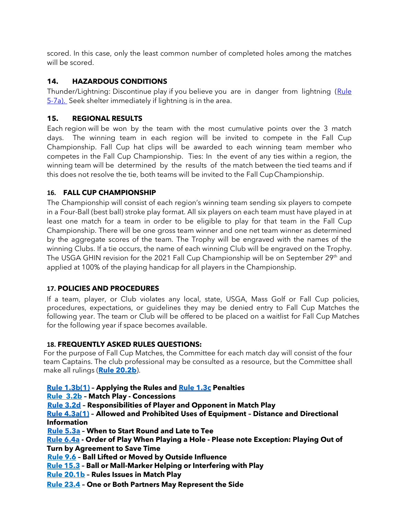scored. In this case, only the least common number of completed holes among the matches will be scored.

# **14. HAZARDOUS CONDITIONS**

Thunder/Lightning: Discontinue play if you believe you are in danger from lightning (Rule [5-7a\).](https://www.usga.org/content/usga/home-page/rules/rules-2019/rules-of-golf/rules-and-interpretations.html#!ruletype=pe§ion=rule&rulenum=5) Seek shelter immediately if lightning is in the area.

# **15. REGIONAL RESULTS**

Each region will be won by the team with the most cumulative points over the 3 match days. The winning team in each region will be invited to compete in the Fall Cup Championship. Fall Cup hat clips will be awarded to each winning team member who competes in the Fall Cup Championship. Ties: In the event of any ties within a region, the winning team will be determined by the results of the match between the tied teams and if this does not resolve the tie, both teams will be invited to the Fall CupChampionship.

# **16. FALL CUP CHAMPIONSHIP**

The Championship will consist of each region's winning team sending six players to compete in a Four-Ball (best ball) stroke play format. All six players on each team must have played in at least one match for a team in order to be eligible to play for that team in the Fall Cup Championship. There will be one gross team winner and one net team winner as determined by the aggregate scores of the team. The Trophy will be engraved with the names of the winning Clubs. If a tie occurs, the name of each winning Club will be engraved on the Trophy. The USGA GHIN revision for the 2021 Fall Cup Championship will be on September 29<sup>th</sup> and applied at 100% of the playing handicap for all players in the Championship.

# **17. POLICIES AND PROCEDURES**

If a team, player, or Club violates any local, state, USGA, Mass Golf or Fall Cup policies, procedures, expectations, or guidelines they may be denied entry to Fall Cup Matches the following year. The team or Club will be offered to be placed on a waitlist for Fall Cup Matches for the following year if space becomes available.

# **18. FREQUENTLY ASKED RULES QUESTIONS:**

For the purpose of Fall Cup Matches, the Committee for each match day will consist of the four team Captains. The club professional may be consulted as a resource, but the Committee shall make all rulings (**[Rule 20.2b](https://www.usga.org/content/usga/home-page/rules/rules-2019/rules-of-golf/rules-and-interpretations.html#!ruletype=pe§ion=rule&rulenum=20&subrulenum=2)**).

**[Rule 1.3b\(1\)](https://www.usga.org/content/usga/home-page/rules/rules-2019/rules-of-golf/rules-and-interpretations.html#!ruletype=pe§ion=rule&rulenum=1&subrulenum=3) – Applying the Rules and [Rule 1.3c](https://www.usga.org/content/usga/home-page/rules/rules-2019/rules-of-golf/rules-and-interpretations.html#!ruletype=pe§ion=rule&rulenum=1&subrulenum=3) Penalties** 

**[Rule 3.2b](https://www.usga.org/content/usga/home-page/rules/rules-2019/rules-of-golf/rules-and-interpretations.html#!ruletype=pe§ion=rule&rulenum=3&subrulenum=2) – Match Play - Concessions**

**[Rule 3.2d](https://www.usga.org/content/usga/home-page/rules/rules-2019/rules-of-golf/rules-and-interpretations.html#!ruletype=pe§ion=rule&rulenum=3&subrulenum=2) – Responsibilities of Player and Opponent in Match Play**

**[Rule 4.3a\(1\)](https://www.usga.org/content/usga/home-page/rules/rules-2019/rules-of-golf/rules-and-interpretations.html#!ruletype=pe§ion=rule&rulenum=4&subrulenum=3) – Allowed and Prohibited Uses of Equipment – Distance and Directional Information**

**[Rule 5.3a](https://www.usga.org/content/usga/home-page/rules/rules-2019/rules-of-golf/rules-and-interpretations.html#!ruletype=pe§ion=rule&rulenum=5&subrulenum=3) – When to Start Round and Late to Tee**

**[Rule 6.4a](https://www.usga.org/content/usga/home-page/rules/rules-2019/rules-of-golf/rules-and-interpretations.html#!ruletype=pe§ion=rule&rulenum=6&subrulenum=4) - Order of Play When Playing a Hole - Please note Exception: Playing Out of Turn by Agreement to Save Time**

**[Rule 9.6](https://www.usga.org/content/usga/home-page/rules/rules-2019/rules-of-golf/rules-and-interpretations.html#!ruletype=pe§ion=rule&rulenum=9&subrulenum=6) – Ball Lifted or Moved by Outside Influence**

**[Rule 15.3](https://www.usga.org/content/usga/home-page/rules/rules-2019/rules-of-golf/rules-and-interpretations.html#!ruletype=pe§ion=rule&rulenum=15&subrulenum=3) – Ball or Mall-Marker Helping or Interfering with Play** 

**[Rule 20.1b](https://www.usga.org/content/usga/home-page/rules/rules-2019/rules-of-golf/rules-and-interpretations.html#!ruletype=pe§ion=rule&rulenum=20&subrulenum=1) – Rules Issues in Match Play**

**[Rule 23.4](https://www.usga.org/content/usga/home-page/rules/rules-2019/rules-of-golf/rules-and-interpretations.html#!ruletype=pe§ion=rule&rulenum=23&subrulenum=4) – One or Both Partners May Represent the Side**